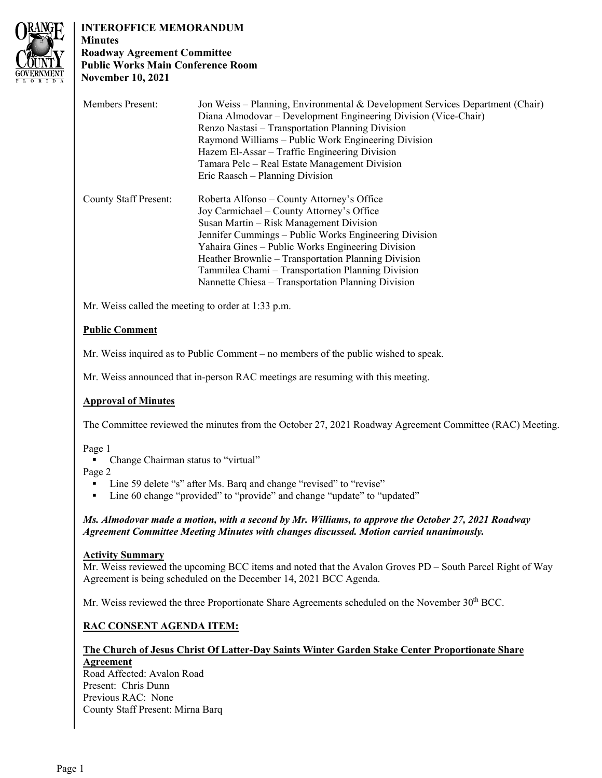

# **INTEROFFICE MEMORANDUM**

**Minutes Roadway Agreement Committee Public Works Main Conference Room November 10, 2021** 

| <b>Members Present:</b>      | Jon Weiss – Planning, Environmental & Development Services Department (Chair)<br>Diana Almodovar – Development Engineering Division (Vice-Chair)<br>Renzo Nastasi – Transportation Planning Division<br>Raymond Williams – Public Work Engineering Division<br>Hazem El-Assar – Traffic Engineering Division<br>Tamara Pelc – Real Estate Management Division |
|------------------------------|---------------------------------------------------------------------------------------------------------------------------------------------------------------------------------------------------------------------------------------------------------------------------------------------------------------------------------------------------------------|
|                              | Eric Raasch – Planning Division                                                                                                                                                                                                                                                                                                                               |
|                              |                                                                                                                                                                                                                                                                                                                                                               |
| <b>County Staff Present:</b> | Roberta Alfonso – County Attorney's Office                                                                                                                                                                                                                                                                                                                    |
|                              | Joy Carmichael – County Attorney's Office                                                                                                                                                                                                                                                                                                                     |
|                              | Susan Martin – Risk Management Division                                                                                                                                                                                                                                                                                                                       |
|                              | Jennifer Cummings – Public Works Engineering Division                                                                                                                                                                                                                                                                                                         |
|                              | Yahaira Gines – Public Works Engineering Division                                                                                                                                                                                                                                                                                                             |
|                              | Heather Brownlie – Transportation Planning Division                                                                                                                                                                                                                                                                                                           |
|                              | Tammilea Chami – Transportation Planning Division                                                                                                                                                                                                                                                                                                             |
|                              | Nannette Chiesa - Transportation Planning Division                                                                                                                                                                                                                                                                                                            |

Mr. Weiss called the meeting to order at 1:33 p.m.

# **Public Comment**

Mr. Weiss inquired as to Public Comment – no members of the public wished to speak.

Mr. Weiss announced that in-person RAC meetings are resuming with this meeting.

### **Approval of Minutes**

The Committee reviewed the minutes from the October 27, 2021 Roadway Agreement Committee (RAC) Meeting.

Page 1

• Change Chairman status to "virtual"

Page 2

- Line 59 delete "s" after Ms. Barq and change "revised" to "revise"
- Line 60 change "provided" to "provide" and change "update" to "updated"

### *Ms. Almodovar made a motion, with a second by Mr. Williams, to approve the October 27, 2021 Roadway Agreement Committee Meeting Minutes with changes discussed. Motion carried unanimously.*

### **Activity Summary**

Mr. Weiss reviewed the upcoming BCC items and noted that the Avalon Groves PD – South Parcel Right of Way Agreement is being scheduled on the December 14, 2021 BCC Agenda.

Mr. Weiss reviewed the three Proportionate Share Agreements scheduled on the November  $30<sup>th</sup> BCC$ .

# **RAC CONSENT AGENDA ITEM:**

# **The Church of Jesus Christ Of Latter-Day Saints Winter Garden Stake Center Proportionate Share Agreement**

Road Affected: Avalon Road Present: Chris Dunn Previous RAC: None County Staff Present: Mirna Barq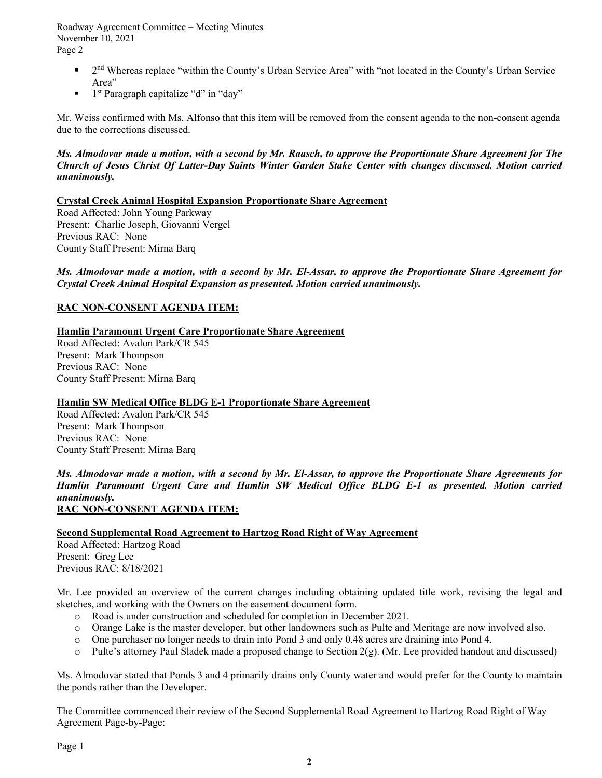Roadway Agreement Committee – Meeting Minutes November 10, 2021 Page 2

- $\blacksquare$  2<sup>nd</sup> Whereas replace "within the County's Urban Service Area" with "not located in the County's Urban Service Area"
- $\blacksquare$  1<sup>st</sup> Paragraph capitalize "d" in "day"

Mr. Weiss confirmed with Ms. Alfonso that this item will be removed from the consent agenda to the non-consent agenda due to the corrections discussed.

### *Ms. Almodovar made a motion, with a second by Mr. Raasch, to approve the Proportionate Share Agreement for The Church of Jesus Christ Of Latter-Day Saints Winter Garden Stake Center with changes discussed. Motion carried unanimously.*

**Crystal Creek Animal Hospital Expansion Proportionate Share Agreement** 

Road Affected: John Young Parkway Present: Charlie Joseph, Giovanni Vergel Previous RAC: None County Staff Present: Mirna Barq

*Ms. Almodovar made a motion, with a second by Mr. El-Assar, to approve the Proportionate Share Agreement for Crystal Creek Animal Hospital Expansion as presented. Motion carried unanimously.* 

# **RAC NON-CONSENT AGENDA ITEM:**

# **Hamlin Paramount Urgent Care Proportionate Share Agreement**

Road Affected: Avalon Park/CR 545 Present: Mark Thompson Previous RAC: None County Staff Present: Mirna Barq

### **Hamlin SW Medical Office BLDG E-1 Proportionate Share Agreement**

Road Affected: Avalon Park/CR 545 Present: Mark Thompson Previous RAC: None County Staff Present: Mirna Barq

*Ms. Almodovar made a motion, with a second by Mr. El-Assar, to approve the Proportionate Share Agreements for Hamlin Paramount Urgent Care and Hamlin SW Medical Office BLDG E-1 as presented. Motion carried unanimously.* 

# **RAC NON-CONSENT AGENDA ITEM:**

# **Second Supplemental Road Agreement to Hartzog Road Right of Way Agreement**

Road Affected: Hartzog Road Present: Greg Lee Previous RAC: 8/18/2021

Mr. Lee provided an overview of the current changes including obtaining updated title work, revising the legal and sketches, and working with the Owners on the easement document form.

- o Road is under construction and scheduled for completion in December 2021.
- o Orange Lake is the master developer, but other landowners such as Pulte and Meritage are now involved also.
- o One purchaser no longer needs to drain into Pond 3 and only 0.48 acres are draining into Pond 4.
- o Pulte's attorney Paul Sladek made a proposed change to Section 2(g). (Mr. Lee provided handout and discussed)

Ms. Almodovar stated that Ponds 3 and 4 primarily drains only County water and would prefer for the County to maintain the ponds rather than the Developer.

The Committee commenced their review of the Second Supplemental Road Agreement to Hartzog Road Right of Way Agreement Page-by-Page: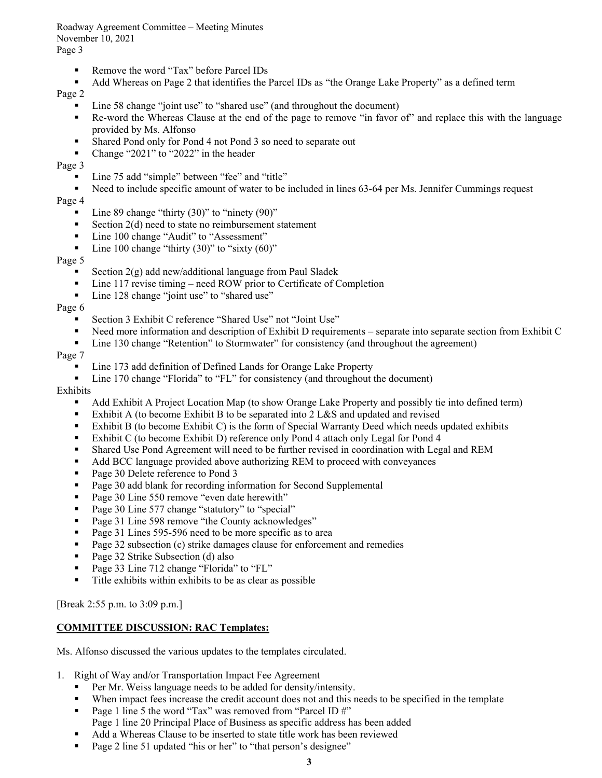Roadway Agreement Committee – Meeting Minutes November 10, 2021 Page 3

- Remove the word "Tax" before Parcel IDs
- Add Whereas on Page 2 that identifies the Parcel IDs as "the Orange Lake Property" as a defined term

Page 2

- Line 58 change "joint use" to "shared use" (and throughout the document)
- Re-word the Whereas Clause at the end of the page to remove "in favor of" and replace this with the language provided by Ms. Alfonso
- **Shared Pond only for Pond 4 not Pond 3 so need to separate out**
- Change "2021" to "2022" in the header

Page 3

- Line 75 add "simple" between "fee" and "title"
- Need to include specific amount of water to be included in lines 63-64 per Ms. Jennifer Cummings request

#### Page 4

- $\blacksquare$  Line 89 change "thirty (30)" to "ninety (90)"
- Section  $2(d)$  need to state no reimbursement statement
- Line 100 change "Audit" to "Assessment"
- $\blacksquare$  Line 100 change "thirty (30)" to "sixty (60)"

#### Page 5

- Section  $2(g)$  add new/additional language from Paul Sladek
- Line 117 revise timing need ROW prior to Certificate of Completion
- Line 128 change "joint use" to "shared use"

#### Page 6

- Section 3 Exhibit C reference "Shared Use" not "Joint Use"
- Need more information and description of Exhibit D requirements separate into separate section from Exhibit C
- Line 130 change "Retention" to Stormwater" for consistency (and throughout the agreement)

#### Page 7

- Line 173 add definition of Defined Lands for Orange Lake Property
- Line 170 change "Florida" to "FL" for consistency (and throughout the document)

#### Exhibits

- Add Exhibit A Project Location Map (to show Orange Lake Property and possibly tie into defined term)
- Exhibit A (to become Exhibit B to be separated into  $2$  L&S and updated and revised
- Exhibit B (to become Exhibit C) is the form of Special Warranty Deed which needs updated exhibits
- Exhibit C (to become Exhibit D) reference only Pond 4 attach only Legal for Pond 4
- Shared Use Pond Agreement will need to be further revised in coordination with Legal and REM
- Add BCC language provided above authorizing REM to proceed with conveyances
- Page 30 Delete reference to Pond 3
- **Page 30 add blank for recording information for Second Supplemental**
- Page 30 Line 550 remove "even date herewith"
- Page 30 Line 577 change "statutory" to "special"
- Page 31 Line 598 remove "the County acknowledges"
- Page 31 Lines 595-596 need to be more specific as to area
- **Page 32 subsection (c) strike damages clause for enforcement and remedies**
- Page 32 Strike Subsection (d) also
- Page 33 Line 712 change "Florida" to "FL"
- Title exhibits within exhibits to be as clear as possible

[Break 2:55 p.m. to 3:09 p.m.]

### **COMMITTEE DISCUSSION: RAC Templates:**

Ms. Alfonso discussed the various updates to the templates circulated.

- 1. Right of Way and/or Transportation Impact Fee Agreement
	- Per Mr. Weiss language needs to be added for density/intensity.
	- When impact fees increase the credit account does not and this needs to be specified in the template
	- **Page 1 line 5 the word "Tax" was removed from "Parcel ID #"** Page 1 line 20 Principal Place of Business as specific address has been added
	- Add a Whereas Clause to be inserted to state title work has been reviewed
	- Page 2 line 51 updated "his or her" to "that person's designee"